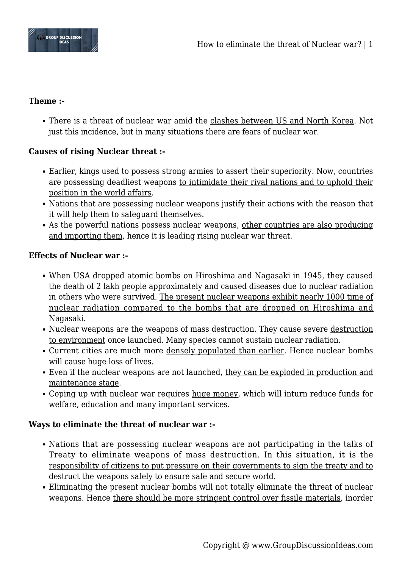

### **Theme :-**

There is a threat of nuclear war amid the clashes between US and North Korea. Not just this incidence, but in many situations there are fears of nuclear war.

# **Causes of rising Nuclear threat :-**

- Earlier, kings used to possess strong armies to assert their superiority. Now, countries are possessing deadliest weapons to intimidate their rival nations and to uphold their position in the world affairs.
- Nations that are possessing nuclear weapons justify their actions with the reason that it will help them to safeguard themselves.
- As the powerful nations possess nuclear weapons, other countries are also producing and importing them, hence it is leading rising nuclear war threat.

### **Effects of Nuclear war :-**

- When USA dropped atomic bombs on Hiroshima and Nagasaki in 1945, they caused the death of 2 lakh people approximately and caused diseases due to nuclear radiation in others who were survived. The present nuclear weapons exhibit nearly 1000 time of nuclear radiation compared to the bombs that are dropped on Hiroshima and Nagasaki.
- Nuclear weapons are the weapons of mass destruction. They cause severe destruction to environment once launched. Many species cannot sustain nuclear radiation.
- Current cities are much more densely populated than earlier. Hence nuclear bombs will cause huge loss of lives.
- Even if the nuclear weapons are not launched, they can be exploded in production and maintenance stage.
- Coping up with nuclear war requires huge money, which will inturn reduce funds for welfare, education and many important services.

## **Ways to eliminate the threat of nuclear war :-**

- Nations that are possessing nuclear weapons are not participating in the talks of Treaty to eliminate weapons of mass destruction. In this situation, it is the responsibility of citizens to put pressure on their governments to sign the treaty and to destruct the weapons safely to ensure safe and secure world.
- Eliminating the present nuclear bombs will not totally eliminate the threat of nuclear weapons. Hence there should be more stringent control over fissile materials, inorder